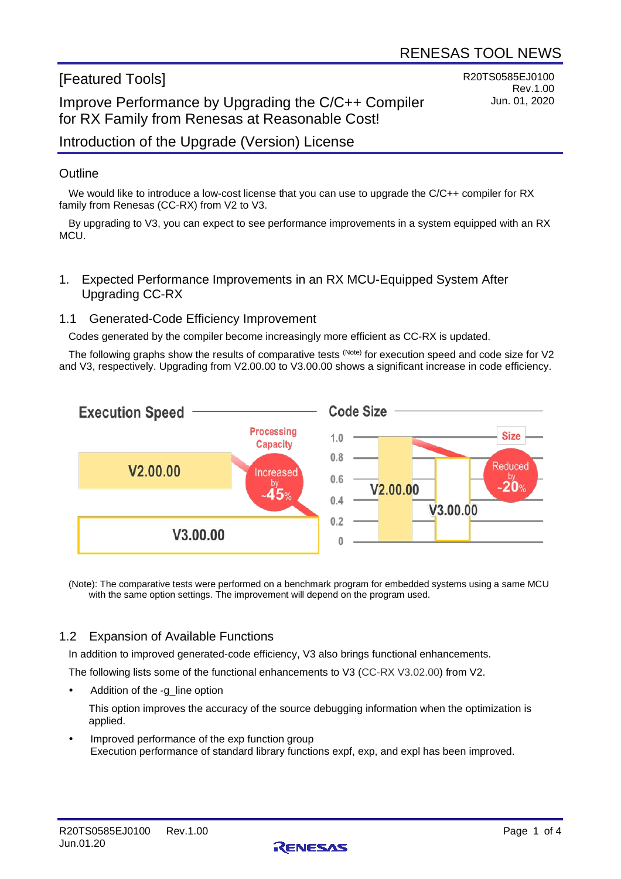# [Featured Tools]

# Improve Performance by Upgrading the C/C++ Compiler for RX Family from Renesas at Reasonable Cost!

R20TS0585EJ0100 Rev.1.00 Jun. 01, 2020

## Introduction of the Upgrade (Version) License

#### **Outline**

We would like to introduce a low-cost license that you can use to upgrade the C/C++ compiler for RX family from Renesas (CC-RX) from V2 to V3.

By upgrading to V3, you can expect to see performance improvements in a system equipped with an RX **MCU** 

1. Expected Performance Improvements in an RX MCU-Equipped System After Upgrading CC-RX

#### 1.1 Generated-Code Efficiency Improvement

Codes generated by the compiler become increasingly more efficient as CC-RX is updated.

The following graphs show the results of comparative tests (Note) for execution speed and code size for V2 and V3, respectively. Upgrading from V2.00.00 to V3.00.00 shows a significant increase in code efficiency.



(Note): The comparative tests were performed on a benchmark program for embedded systems using a same MCU with the same option settings. The improvement will depend on the program used.

#### 1.2 Expansion of Available Functions

In addition to improved generated-code efficiency, V3 also brings functional enhancements.

The following lists some of the functional enhancements to V3 (CC-RX V3.02.00) from V2.

Addition of the -g\_line option

This option improves the accuracy of the source debugging information when the optimization is applied.

 Improved performance of the exp function group Execution performance of standard library functions expf, exp, and expl has been improved.

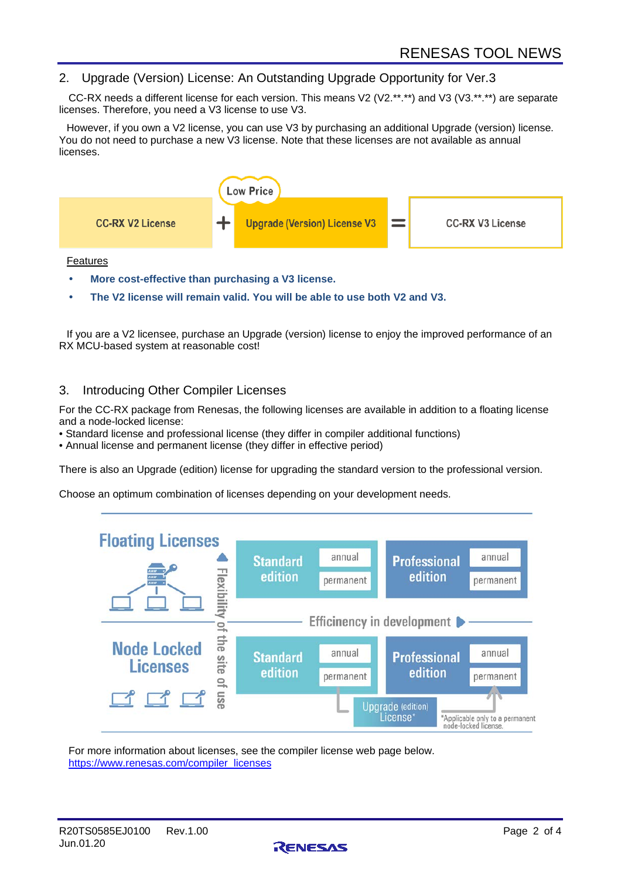#### 2. Upgrade (Version) License: An Outstanding Upgrade Opportunity for Ver.3

CC-RX needs a different license for each version. This means V2 (V2.\*\*.\*\*) and V3 (V3.\*\*.\*\*) are separate licenses. Therefore, you need a V3 license to use V3.

However, if you own a V2 license, you can use V3 by purchasing an additional Upgrade (version) license. You do not need to purchase a new V3 license. Note that these licenses are not available as annual licenses.



Features

- **More cost-effective than purchasing a V3 license.**
- **The V2 license will remain valid. You will be able to use both V2 and V3.**

If you are a V2 licensee, purchase an Upgrade (version) license to enjoy the improved performance of an RX MCU-based system at reasonable cost!

#### 3. Introducing Other Compiler Licenses

For the CC-RX package from Renesas, the following licenses are available in addition to a floating license and a node-locked license:

- Standard license and professional license (they differ in compiler additional functions)
- Annual license and permanent license (they differ in effective period)

There is also an Upgrade (edition) license for upgrading the standard version to the professional version.

Choose an optimum combination of licenses depending on your development needs.



For more information about licenses, see the compiler license web page below. [https://www.renesas.com/compiler\\_licenses](https://www.renesas.com/compiler_licenses)

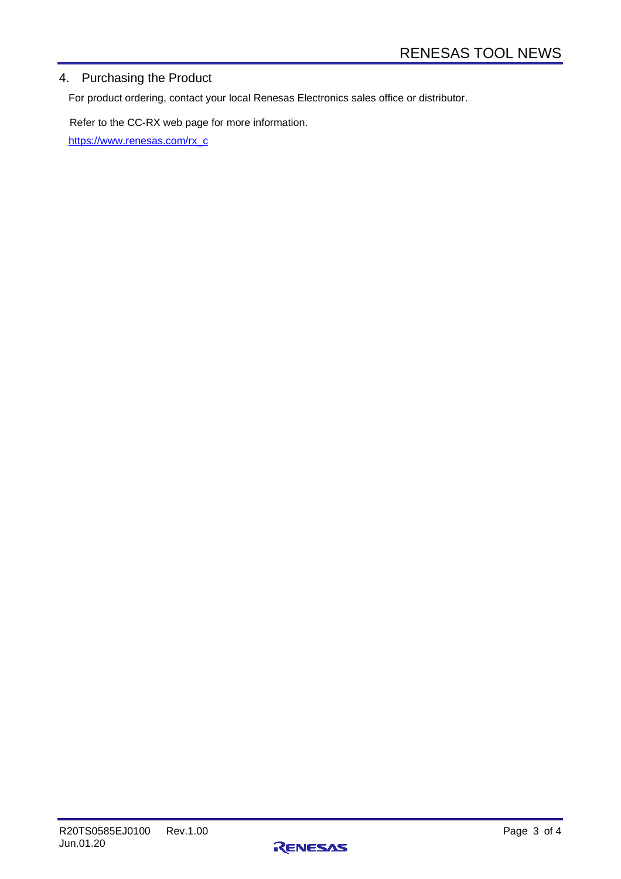## 4. Purchasing the Product

For product ordering, contact your local Renesas Electronics sales office or distributor.

Refer to the CC-RX web page for more information. [https://www.renesas.com/rx\\_c](https://www.renesas.com/rx_c)